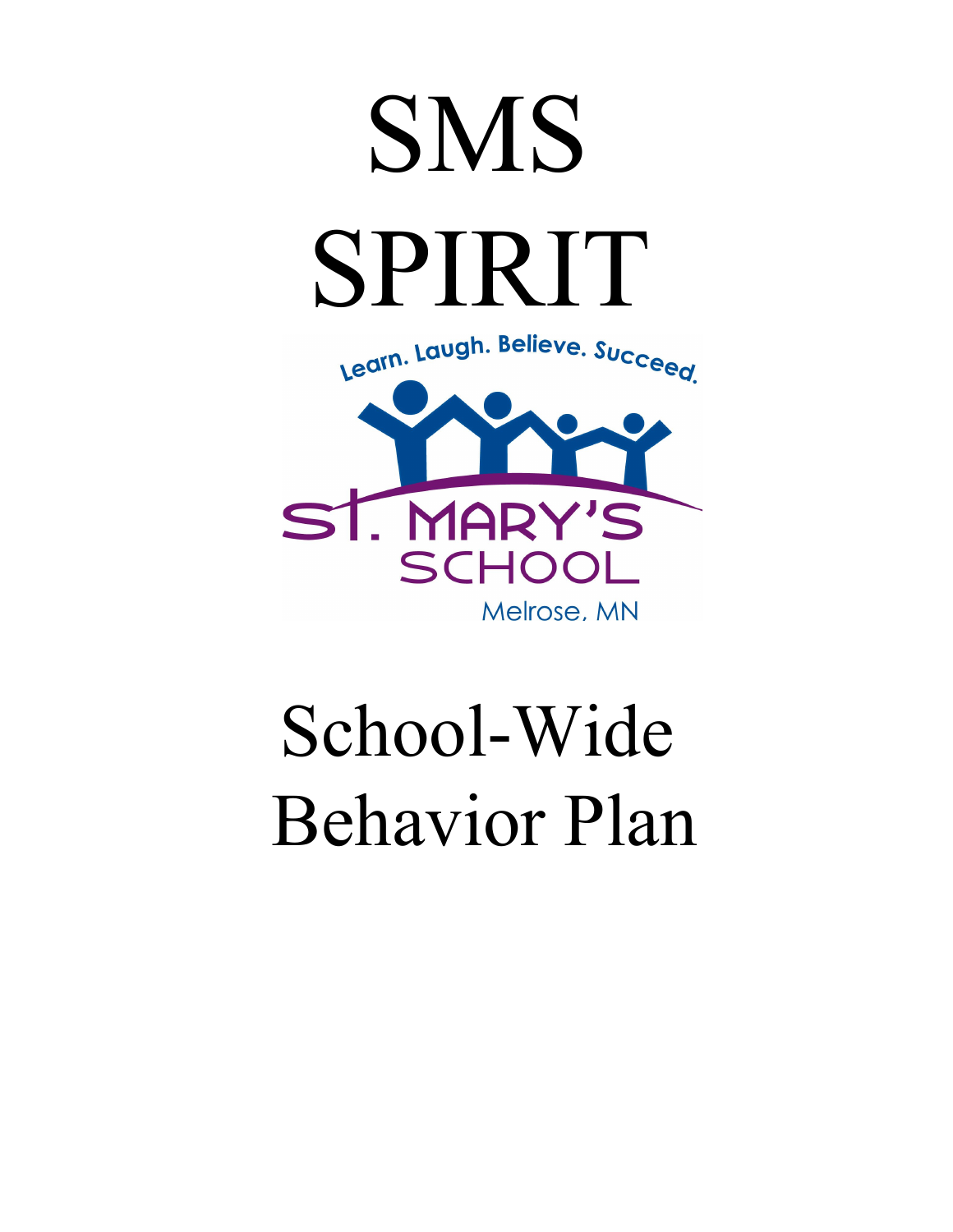

School-Wide Behavior Plan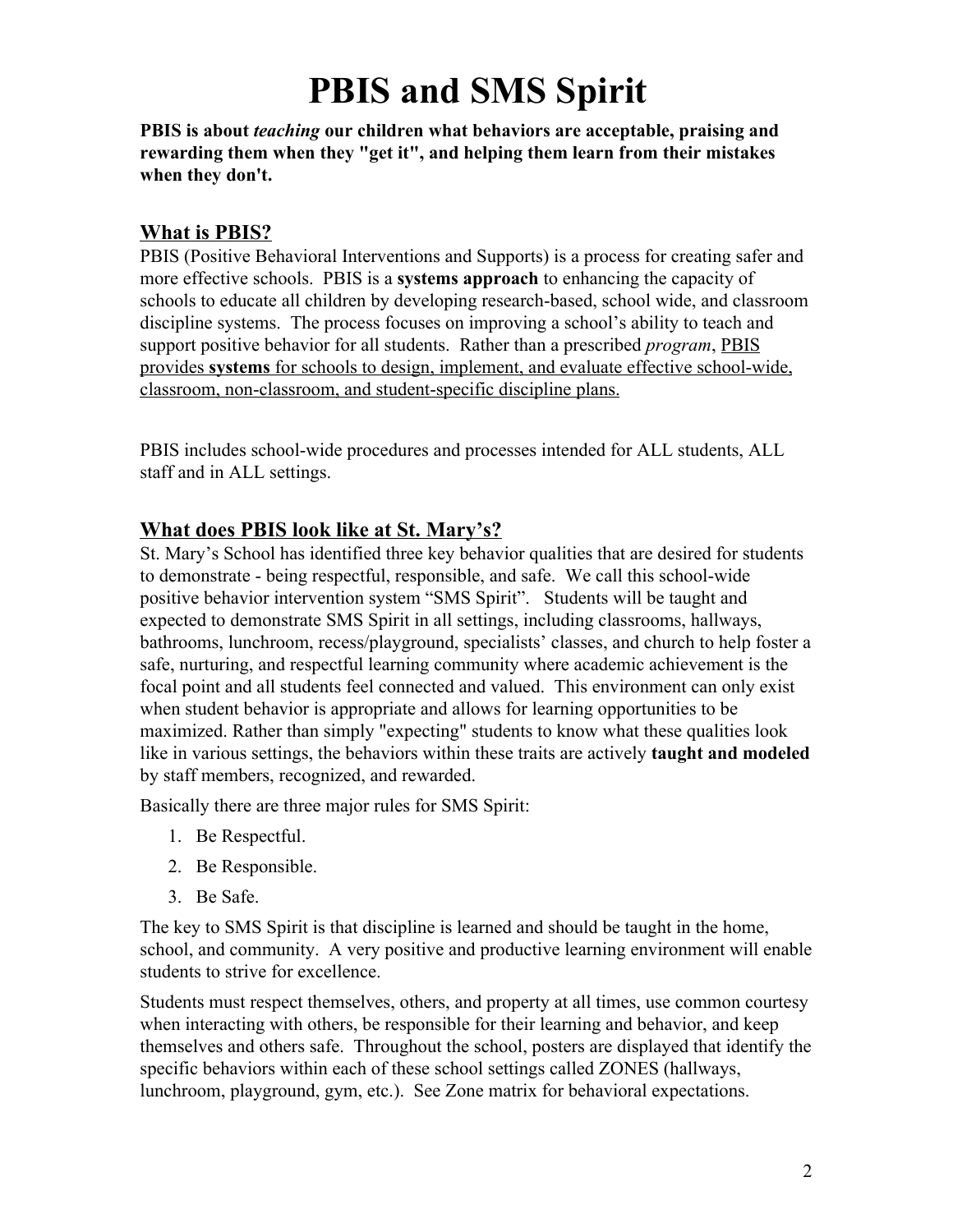# **PBIS and SMS Spirit**

**PBIS is about** *teaching* **our children what behaviors are acceptable, praising and rewarding them when they "get it", and helping them learn from their mistakes when they don't.**

#### **What is PBIS?**

PBIS (Positive Behavioral Interventions and Supports) is a process for creating safer and more effective schools. PBIS is a **systems approach** to enhancing the capacity of schools to educate all children by developing research-based, school wide, and classroom discipline systems. The process focuses on improving a school's ability to teach and support positive behavior for all students. Rather than a prescribed *program*, PBIS provides **systems** for schools to design, implement, and evaluate effective school-wide, classroom, non-classroom, and student-specific discipline plans.

PBIS includes school-wide procedures and processes intended for ALL students, ALL staff and in ALL settings.

## **What does PBIS look like at St. Mary's?**

St. Mary's School has identified three key behavior qualities that are desired for students to demonstrate - being respectful, responsible, and safe. We call this school-wide positive behavior intervention system "SMS Spirit". Students will be taught and expected to demonstrate SMS Spirit in all settings, including classrooms, hallways, bathrooms, lunchroom, recess/playground, specialists' classes, and church to help foster a safe, nurturing, and respectful learning community where academic achievement is the focal point and all students feel connected and valued. This environment can only exist when student behavior is appropriate and allows for learning opportunities to be maximized. Rather than simply "expecting" students to know what these qualities look like in various settings, the behaviors within these traits are actively **taught and modeled** by staff members, recognized, and rewarded.

Basically there are three major rules for SMS Spirit:

- 1. Be Respectful.
- 2. Be Responsible.
- 3. Be Safe.

The key to SMS Spirit is that discipline is learned and should be taught in the home, school, and community. A very positive and productive learning environment will enable students to strive for excellence.

Students must respect themselves, others, and property at all times, use common courtesy when interacting with others, be responsible for their learning and behavior, and keep themselves and others safe. Throughout the school, posters are displayed that identify the specific behaviors within each of these school settings called ZONES (hallways, lunchroom, playground, gym, etc.). See Zone matrix for behavioral expectations.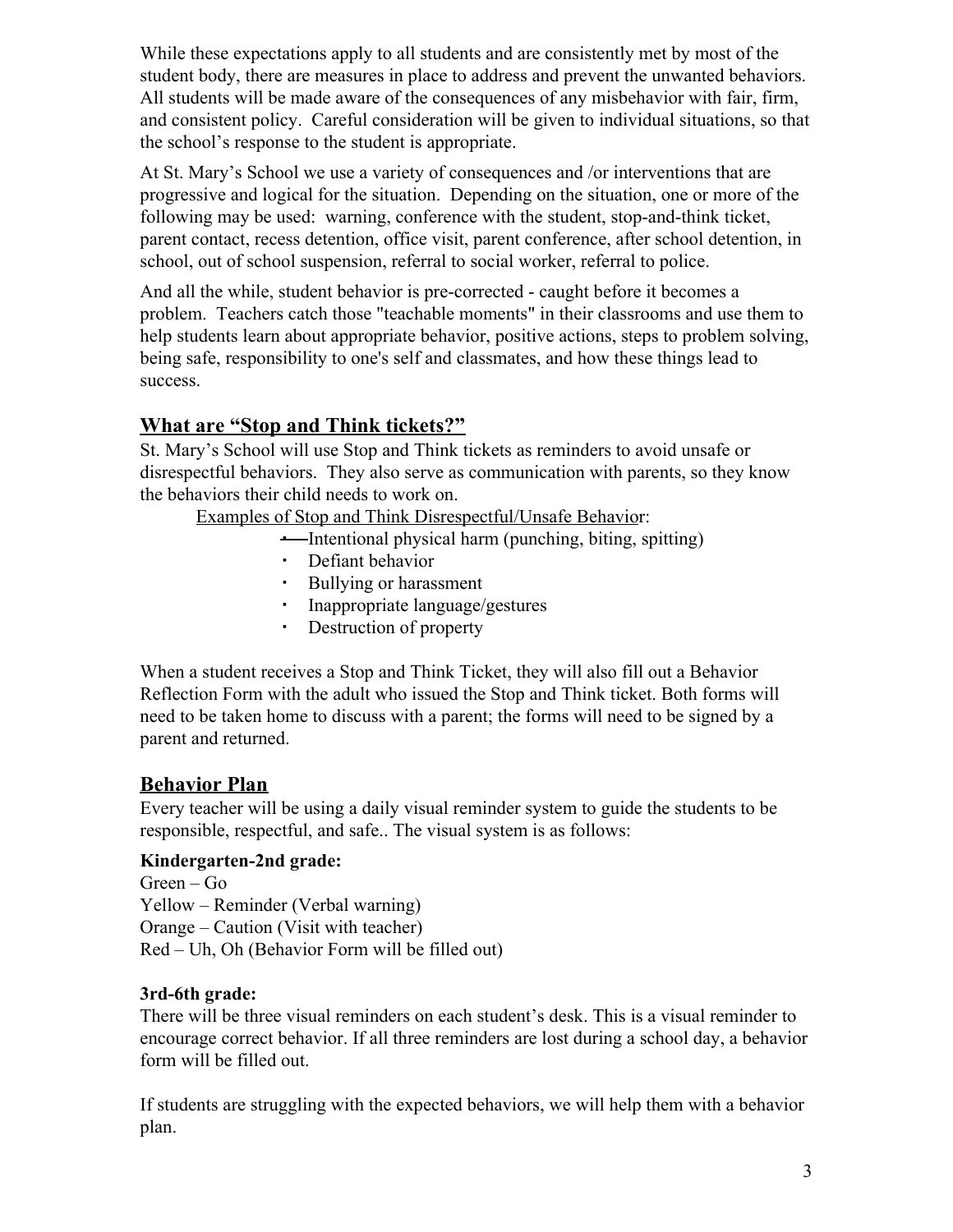While these expectations apply to all students and are consistently met by most of the student body, there are measures in place to address and prevent the unwanted behaviors. All students will be made aware of the consequences of any misbehavior with fair, firm, and consistent policy. Careful consideration will be given to individual situations, so that the school's response to the student is appropriate.

At St. Mary's School we use a variety of consequences and /or interventions that are progressive and logical for the situation. Depending on the situation, one or more of the following may be used: warning, conference with the student, stop-and-think ticket, parent contact, recess detention, office visit, parent conference, after school detention, in school, out of school suspension, referral to social worker, referral to police.

And all the while, student behavior is pre-corrected - caught before it becomes a problem. Teachers catch those "teachable moments" in their classrooms and use them to help students learn about appropriate behavior, positive actions, steps to problem solving, being safe, responsibility to one's self and classmates, and how these things lead to success.

# **What are "Stop and Think tickets?"**

St. Mary's School will use Stop and Think tickets as reminders to avoid unsafe or disrespectful behaviors. They also serve as communication with parents, so they know the behaviors their child needs to work on.

Examples of Stop and Think Disrespectful/Unsafe Behavior:

- Intentional physical harm (punching, biting, spitting)
- Defiant behavior
- Bullying or harassment
- Inappropriate language/gestures
- Destruction of property

When a student receives a Stop and Think Ticket, they will also fill out a Behavior Reflection Form with the adult who issued the Stop and Think ticket. Both forms will need to be taken home to discuss with a parent; the forms will need to be signed by a parent and returned.

## **Behavior Plan**

Every teacher will be using a daily visual reminder system to guide the students to be responsible, respectful, and safe.. The visual system is as follows:

#### **Kindergarten-2nd grade:**

Green – Go Yellow – Reminder (Verbal warning) Orange – Caution (Visit with teacher) Red – Uh, Oh (Behavior Form will be filled out)

#### **3rd-6th grade:**

There will be three visual reminders on each student's desk. This is a visual reminder to encourage correct behavior. If all three reminders are lost during a school day, a behavior form will be filled out.

If students are struggling with the expected behaviors, we will help them with a behavior plan.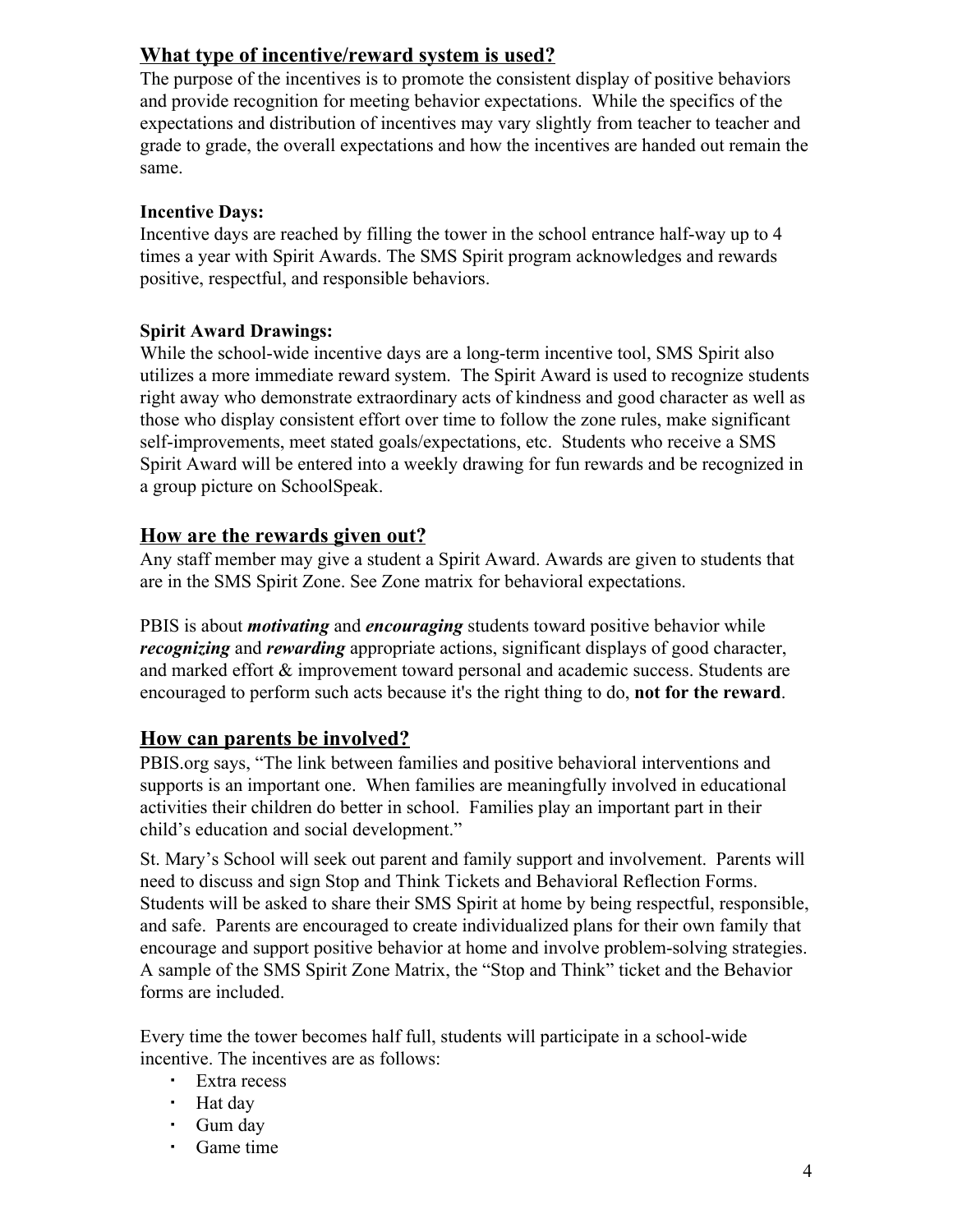# **What type of incentive/reward system is used?**

The purpose of the incentives is to promote the consistent display of positive behaviors and provide recognition for meeting behavior expectations. While the specifics of the expectations and distribution of incentives may vary slightly from teacher to teacher and grade to grade, the overall expectations and how the incentives are handed out remain the same.

#### **Incentive Days:**

Incentive days are reached by filling the tower in the school entrance half-way up to 4 times a year with Spirit Awards. The SMS Spirit program acknowledges and rewards positive, respectful, and responsible behaviors.

#### **Spirit Award Drawings:**

While the school-wide incentive days are a long-term incentive tool, SMS Spirit also utilizes a more immediate reward system. The Spirit Award is used to recognize students right away who demonstrate extraordinary acts of kindness and good character as well as those who display consistent effort over time to follow the zone rules, make significant self-improvements, meet stated goals/expectations, etc. Students who receive a SMS Spirit Award will be entered into a weekly drawing for fun rewards and be recognized in a group picture on SchoolSpeak.

## **How are the rewards given out?**

Any staff member may give a student a Spirit Award. Awards are given to students that are in the SMS Spirit Zone. See Zone matrix for behavioral expectations.

PBIS is about *motivating* and *encouraging* students toward positive behavior while *recognizing* and *rewarding* appropriate actions, significant displays of good character, and marked effort & improvement toward personal and academic success. Students are encouraged to perform such acts because it's the right thing to do, **not for the reward**.

# **How can parents be involved?**

PBIS.org says, "The link between families and positive behavioral interventions and supports is an important one. When families are meaningfully involved in educational activities their children do better in school. Families play an important part in their child's education and social development."

St. Mary's School will seek out parent and family support and involvement. Parents will need to discuss and sign Stop and Think Tickets and Behavioral Reflection Forms. Students will be asked to share their SMS Spirit at home by being respectful, responsible, and safe. Parents are encouraged to create individualized plans for their own family that encourage and support positive behavior at home and involve problem-solving strategies. A sample of the SMS Spirit Zone Matrix, the "Stop and Think" ticket and the Behavior forms are included.

Every time the tower becomes half full, students will participate in a school-wide incentive. The incentives are as follows:

- Extra recess
- Hat day
- Gum day
- Game time